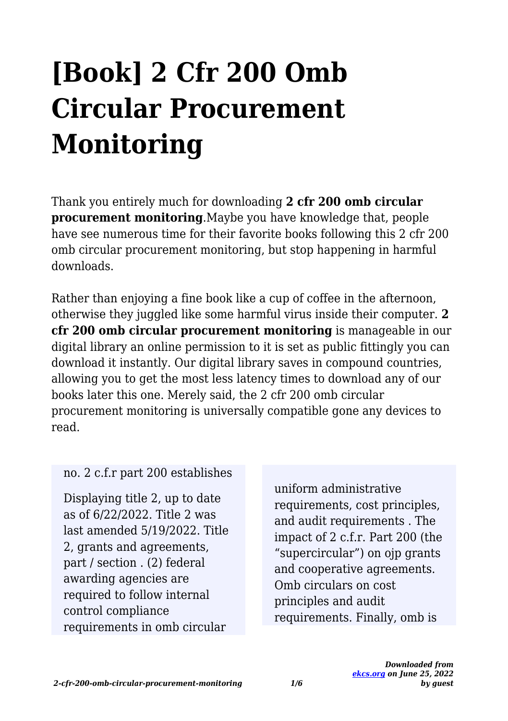# **[Book] 2 Cfr 200 Omb Circular Procurement Monitoring**

Thank you entirely much for downloading **2 cfr 200 omb circular procurement monitoring**.Maybe you have knowledge that, people have see numerous time for their favorite books following this 2 cfr 200 omb circular procurement monitoring, but stop happening in harmful downloads.

Rather than enjoying a fine book like a cup of coffee in the afternoon, otherwise they juggled like some harmful virus inside their computer. **2 cfr 200 omb circular procurement monitoring** is manageable in our digital library an online permission to it is set as public fittingly you can download it instantly. Our digital library saves in compound countries, allowing you to get the most less latency times to download any of our books later this one. Merely said, the 2 cfr 200 omb circular procurement monitoring is universally compatible gone any devices to read.

#### no. 2 c.f.r part 200 establishes

Displaying title 2, up to date as of 6/22/2022. Title 2 was last amended 5/19/2022. Title 2, grants and agreements, part / section . (2) federal awarding agencies are required to follow internal control compliance requirements in omb circular

uniform administrative requirements, cost principles, and audit requirements . The impact of 2 c.f.r. Part 200 (the "supercircular") on ojp grants and cooperative agreements. Omb circulars on cost principles and audit requirements. Finally, omb is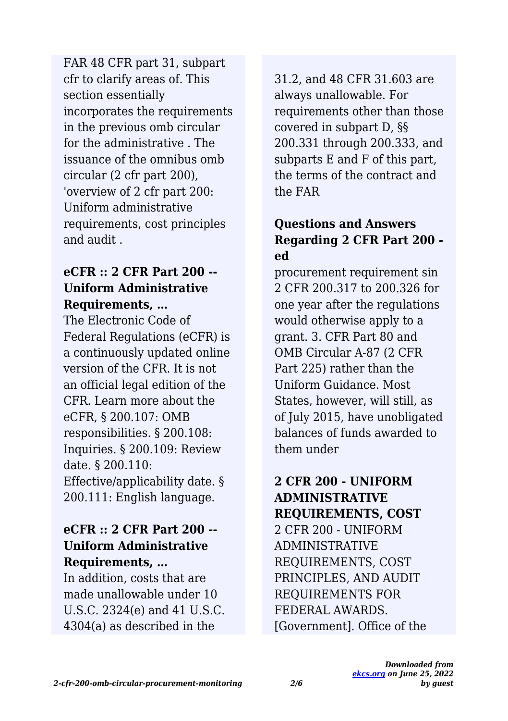cfr to clarify areas of. This section essentially incorporates the requirements in the previous omb circular for the administrative . The issuance of the omnibus omb circular (2 cfr part 200), 'overview of 2 cfr part 200: Uniform administrative requirements, cost principles and audit . FAR 48 CFR part 31, subpart

#### **eCFR :: 2 CFR Part 200 -- Uniform Administrative Requirements, …**

The Electronic Code of Federal Regulations (eCFR) is a continuously updated online version of the CFR. It is not an official legal edition of the CFR. Learn more about the eCFR, § 200.107: OMB responsibilities. § 200.108: Inquiries. § 200.109: Review date. § 200.110: Effective/applicability date. § 200.111: English language.

#### **eCFR :: 2 CFR Part 200 -- Uniform Administrative Requirements, …**

In addition, costs that are made unallowable under 10 U.S.C. 2324(e) and 41 U.S.C. 4304(a) as described in the

31.2, and 48 CFR 31.603 are always unallowable. For requirements other than those covered in subpart D, §§ 200.331 through 200.333, and subparts E and F of this part, the terms of the contract and the FAR

## **Questions and Answers Regarding 2 CFR Part 200 ed**

procurement requirement sin 2 CFR 200.317 to 200.326 for one year after the regulations would otherwise apply to a grant. 3. CFR Part 80 and OMB Circular A-87 (2 CFR Part 225) rather than the Uniform Guidance. Most States, however, will still, as of July 2015, have unobligated balances of funds awarded to them under

## **2 CFR 200 - UNIFORM ADMINISTRATIVE REQUIREMENTS, COST**

2 CFR 200 - UNIFORM ADMINISTRATIVE REQUIREMENTS, COST PRINCIPLES, AND AUDIT REQUIREMENTS FOR FEDERAL AWARDS. [Government]. Office of the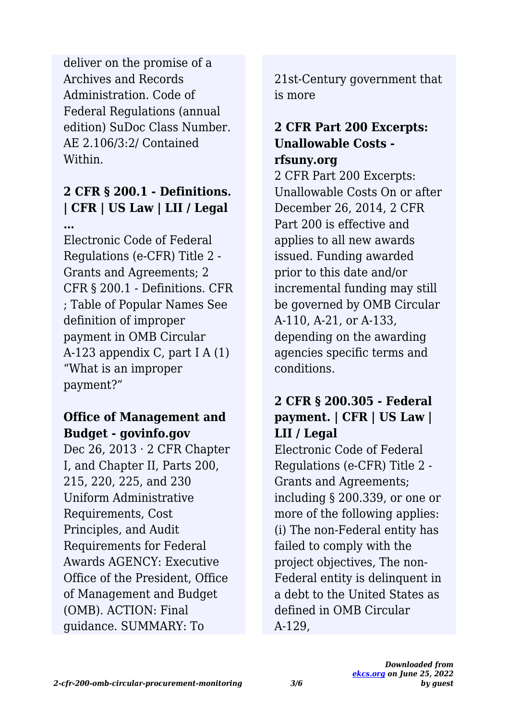Archives and Records Administration. Code of Federal Regulations (annual edition) SuDoc Class Number. AE 2.106/3:2/ Contained Within. deliver on the promise of a

#### **2 CFR § 200.1 - Definitions. | CFR | US Law | LII / Legal …**

Electronic Code of Federal Regulations (e-CFR) Title 2 - Grants and Agreements; 2 CFR § 200.1 - Definitions. CFR ; Table of Popular Names See definition of improper payment in OMB Circular A-123 appendix C, part I A (1) "What is an improper payment?"

### **Office of Management and Budget - govinfo.gov**

Dec 26,  $2013 \cdot 2$  CFR Chapter I, and Chapter II, Parts 200, 215, 220, 225, and 230 Uniform Administrative Requirements, Cost Principles, and Audit Requirements for Federal Awards AGENCY: Executive Office of the President, Office of Management and Budget (OMB). ACTION: Final guidance. SUMMARY: To

21st-Century government that is more

#### **2 CFR Part 200 Excerpts: Unallowable Costs rfsuny.org**

2 CFR Part 200 Excerpts: Unallowable Costs On or after December 26, 2014, 2 CFR Part 200 is effective and applies to all new awards issued. Funding awarded prior to this date and/or incremental funding may still be governed by OMB Circular A-110, A-21, or A-133, depending on the awarding agencies specific terms and conditions.

#### **2 CFR § 200.305 - Federal payment. | CFR | US Law | LII / Legal**

Electronic Code of Federal Regulations (e-CFR) Title 2 - Grants and Agreements; including § 200.339, or one or more of the following applies: (i) The non-Federal entity has failed to comply with the project objectives, The non-Federal entity is delinquent in a debt to the United States as defined in OMB Circular A-129,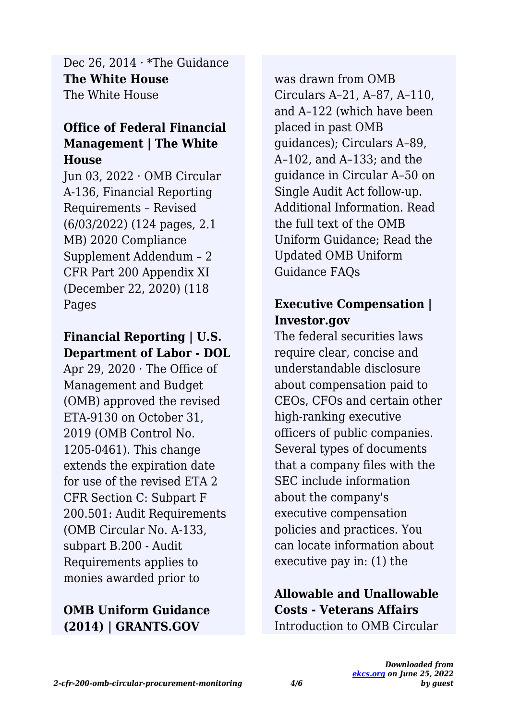**The White House** The White House Dec 26, 2014 · \*The Guidance

#### **Office of Federal Financial Management | The White House**

Jun 03, 2022 · OMB Circular A-136, Financial Reporting Requirements – Revised (6/03/2022) (124 pages, 2.1 MB) 2020 Compliance Supplement Addendum – 2 CFR Part 200 Appendix XI (December 22, 2020) (118 Pages

## **Financial Reporting | U.S. Department of Labor - DOL**

Apr 29, 2020  $\cdot$  The Office of Management and Budget (OMB) approved the revised ETA-9130 on October 31, 2019 (OMB Control No. 1205-0461). This change extends the expiration date for use of the revised ETA 2 CFR Section C: Subpart F 200.501: Audit Requirements (OMB Circular No. A-133, subpart B.200 - Audit Requirements applies to monies awarded prior to

## **OMB Uniform Guidance (2014) | GRANTS.GOV**

was drawn from OMB Circulars A–21, A–87, A–110, and A–122 (which have been placed in past OMB guidances); Circulars A–89, A–102, and A–133; and the guidance in Circular A–50 on Single Audit Act follow-up. Additional Information. Read the full text of the OMB Uniform Guidance; Read the Updated OMB Uniform Guidance FAQs

#### **Executive Compensation | Investor.gov**

The federal securities laws require clear, concise and understandable disclosure about compensation paid to CEOs, CFOs and certain other high-ranking executive officers of public companies. Several types of documents that a company files with the SEC include information about the company's executive compensation policies and practices. You can locate information about executive pay in: (1) the

#### **Allowable and Unallowable Costs - Veterans Affairs** Introduction to OMB Circular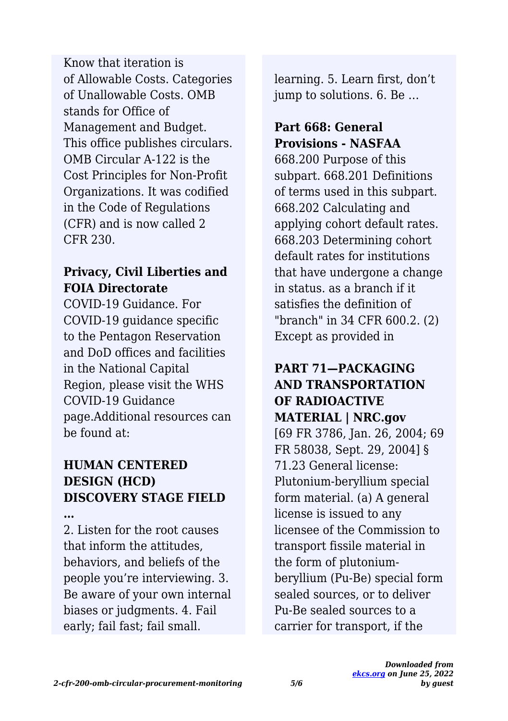of Allowable Costs. Categories of Unallowable Costs. OMB stands for Office of Management and Budget. This office publishes circulars. OMB Circular A-122 is the Cost Principles for Non-Profit Organizations. It was codified in the Code of Regulations (CFR) and is now called 2 CFR 230. Know that iteration is

#### **Privacy, Civil Liberties and FOIA Directorate**

COVID-19 Guidance. For COVID-19 guidance specific to the Pentagon Reservation and DoD offices and facilities in the National Capital Region, please visit the WHS COVID-19 Guidance page.Additional resources can be found at:

## **HUMAN CENTERED DESIGN (HCD) DISCOVERY STAGE FIELD**

**…**

2. Listen for the root causes that inform the attitudes, behaviors, and beliefs of the people you're interviewing. 3. Be aware of your own internal biases or judgments. 4. Fail early; fail fast; fail small.

learning. 5. Learn first, don't jump to solutions. 6. Be …

## **Part 668: General Provisions - NASFAA**

668.200 Purpose of this subpart. 668.201 Definitions of terms used in this subpart. 668.202 Calculating and applying cohort default rates. 668.203 Determining cohort default rates for institutions that have undergone a change in status. as a branch if it satisfies the definition of "branch" in 34 CFR 600.2. (2) Except as provided in

#### **PART 71—PACKAGING AND TRANSPORTATION OF RADIOACTIVE MATERIAL | NRC.gov**

[69 FR 3786, Jan. 26, 2004; 69 FR 58038, Sept. 29, 2004] § 71.23 General license: Plutonium-beryllium special form material. (a) A general license is issued to any licensee of the Commission to transport fissile material in the form of plutoniumberyllium (Pu-Be) special form sealed sources, or to deliver Pu-Be sealed sources to a carrier for transport, if the